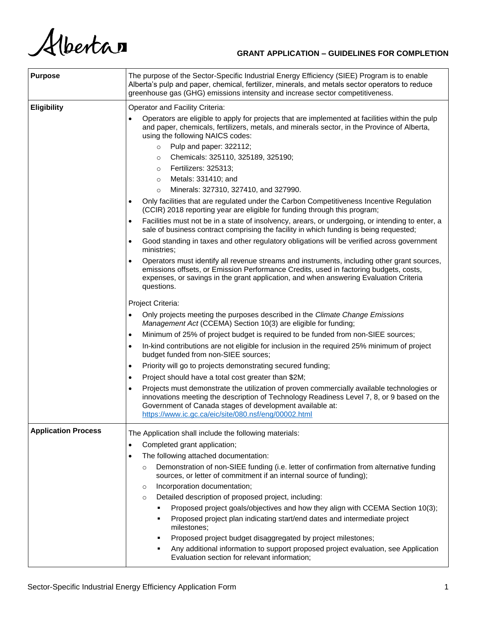

# **GRANT APPLICATION – GUIDELINES FOR COMPLETION**

| <b>Purpose</b>             | The purpose of the Sector-Specific Industrial Energy Efficiency (SIEE) Program is to enable<br>Alberta's pulp and paper, chemical, fertilizer, minerals, and metals sector operators to reduce<br>greenhouse gas (GHG) emissions intensity and increase sector competitiveness.                                                                                                                                                                                                                                                                                                                                                                                                                                                                                                                                                                                                                                                                                                                                                                                                                                                                                                                                                                                                                                      |  |  |
|----------------------------|----------------------------------------------------------------------------------------------------------------------------------------------------------------------------------------------------------------------------------------------------------------------------------------------------------------------------------------------------------------------------------------------------------------------------------------------------------------------------------------------------------------------------------------------------------------------------------------------------------------------------------------------------------------------------------------------------------------------------------------------------------------------------------------------------------------------------------------------------------------------------------------------------------------------------------------------------------------------------------------------------------------------------------------------------------------------------------------------------------------------------------------------------------------------------------------------------------------------------------------------------------------------------------------------------------------------|--|--|
| <b>Eligibility</b>         | Operator and Facility Criteria:<br>Operators are eligible to apply for projects that are implemented at facilities within the pulp<br>and paper, chemicals, fertilizers, metals, and minerals sector, in the Province of Alberta,<br>using the following NAICS codes:<br>Pulp and paper: 322112;<br>$\circ$<br>Chemicals: 325110, 325189, 325190;<br>$\circ$<br>Fertilizers: 325313;<br>$\circ$<br>Metals: 331410; and<br>$\circ$<br>Minerals: 327310, 327410, and 327990.<br>$\circ$<br>Only facilities that are regulated under the Carbon Competitiveness Incentive Regulation<br>$\bullet$<br>(CCIR) 2018 reporting year are eligible for funding through this program;<br>Facilities must not be in a state of insolvency, arears, or undergoing, or intending to enter, a<br>٠<br>sale of business contract comprising the facility in which funding is being requested;<br>Good standing in taxes and other regulatory obligations will be verified across government<br>$\bullet$<br>ministries;<br>Operators must identify all revenue streams and instruments, including other grant sources,<br>$\bullet$<br>emissions offsets, or Emission Performance Credits, used in factoring budgets, costs,<br>expenses, or savings in the grant application, and when answering Evaluation Criteria<br>questions. |  |  |
|                            | Project Criteria:<br>Only projects meeting the purposes described in the Climate Change Emissions<br>$\bullet$<br>Management Act (CCEMA) Section 10(3) are eligible for funding;<br>Minimum of 25% of project budget is required to be funded from non-SIEE sources;<br>$\bullet$<br>In-kind contributions are not eligible for inclusion in the required 25% minimum of project<br>$\bullet$<br>budget funded from non-SIEE sources;<br>Priority will go to projects demonstrating secured funding;<br>$\bullet$<br>Project should have a total cost greater than \$2M;<br>$\bullet$<br>Projects must demonstrate the utilization of proven commercially available technologies or<br>$\bullet$<br>innovations meeting the description of Technology Readiness Level 7, 8, or 9 based on the<br>Government of Canada stages of development available at:<br>https://www.ic.gc.ca/eic/site/080.nsf/eng/00002.html                                                                                                                                                                                                                                                                                                                                                                                                    |  |  |
| <b>Application Process</b> | The Application shall include the following materials:<br>Completed grant application;<br>$\bullet$<br>The following attached documentation:<br>$\bullet$<br>Demonstration of non-SIEE funding (i.e. letter of confirmation from alternative funding<br>$\circ$<br>sources, or letter of commitment if an internal source of funding);<br>Incorporation documentation;<br>$\circ$<br>Detailed description of proposed project, including:<br>$\circ$<br>Proposed project goals/objectives and how they align with CCEMA Section 10(3);<br>Proposed project plan indicating start/end dates and intermediate project<br>٠<br>milestones;<br>Proposed project budget disaggregated by project milestones;<br>٠<br>Any additional information to support proposed project evaluation, see Application<br>٠<br>Evaluation section for relevant information;                                                                                                                                                                                                                                                                                                                                                                                                                                                              |  |  |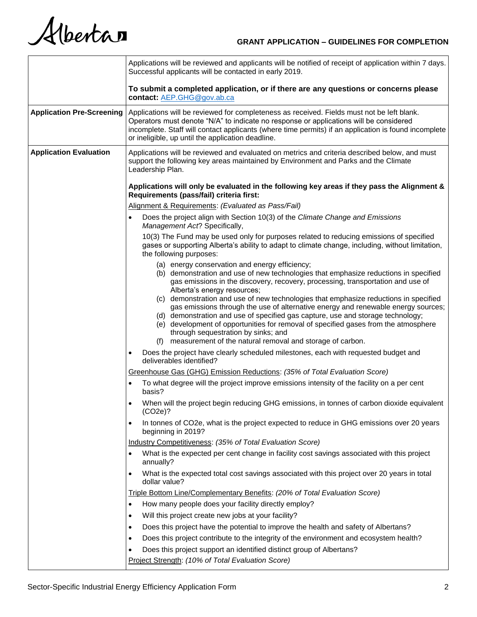

|                                  | Applications will be reviewed and applicants will be notified of receipt of application within 7 days.<br>Successful applicants will be contacted in early 2019.<br>To submit a completed application, or if there are any questions or concerns please<br>contact: AEP.GHG@gov.ab.ca                                                                                                                                                                          |  |  |
|----------------------------------|----------------------------------------------------------------------------------------------------------------------------------------------------------------------------------------------------------------------------------------------------------------------------------------------------------------------------------------------------------------------------------------------------------------------------------------------------------------|--|--|
|                                  |                                                                                                                                                                                                                                                                                                                                                                                                                                                                |  |  |
| <b>Application Pre-Screening</b> | Applications will be reviewed for completeness as received. Fields must not be left blank.<br>Operators must denote "N/A" to indicate no response or applications will be considered<br>incomplete. Staff will contact applicants (where time permits) if an application is found incomplete<br>or ineligible, up until the application deadline.                                                                                                              |  |  |
| <b>Application Evaluation</b>    | Applications will be reviewed and evaluated on metrics and criteria described below, and must<br>support the following key areas maintained by Environment and Parks and the Climate<br>Leadership Plan.                                                                                                                                                                                                                                                       |  |  |
|                                  | Applications will only be evaluated in the following key areas if they pass the Alignment &<br>Requirements (pass/fail) criteria first:                                                                                                                                                                                                                                                                                                                        |  |  |
|                                  | Alignment & Requirements: (Evaluated as Pass/Fail)                                                                                                                                                                                                                                                                                                                                                                                                             |  |  |
|                                  | Does the project align with Section 10(3) of the Climate Change and Emissions<br>Management Act? Specifically,                                                                                                                                                                                                                                                                                                                                                 |  |  |
|                                  | 10(3) The Fund may be used only for purposes related to reducing emissions of specified<br>gases or supporting Alberta's ability to adapt to climate change, including, without limitation,<br>the following purposes:                                                                                                                                                                                                                                         |  |  |
|                                  | (a) energy conservation and energy efficiency;<br>(b) demonstration and use of new technologies that emphasize reductions in specified<br>gas emissions in the discovery, recovery, processing, transportation and use of<br>Alberta's energy resources;                                                                                                                                                                                                       |  |  |
|                                  | (c) demonstration and use of new technologies that emphasize reductions in specified<br>gas emissions through the use of alternative energy and renewable energy sources;<br>(d) demonstration and use of specified gas capture, use and storage technology;<br>(e) development of opportunities for removal of specified gases from the atmosphere<br>through sequestration by sinks; and<br>measurement of the natural removal and storage of carbon.<br>(f) |  |  |
|                                  | Does the project have clearly scheduled milestones, each with requested budget and<br>deliverables identified?                                                                                                                                                                                                                                                                                                                                                 |  |  |
|                                  | Greenhouse Gas (GHG) Emission Reductions: (35% of Total Evaluation Score)                                                                                                                                                                                                                                                                                                                                                                                      |  |  |
|                                  | To what degree will the project improve emissions intensity of the facility on a per cent<br>$\bullet$<br>basis?                                                                                                                                                                                                                                                                                                                                               |  |  |
|                                  | When will the project begin reducing GHG emissions, in tonnes of carbon dioxide equivalent<br>(CO2e)?                                                                                                                                                                                                                                                                                                                                                          |  |  |
|                                  | In tonnes of CO2e, what is the project expected to reduce in GHG emissions over 20 years<br>٠<br>beginning in 2019?                                                                                                                                                                                                                                                                                                                                            |  |  |
|                                  | Industry Competitiveness: (35% of Total Evaluation Score)                                                                                                                                                                                                                                                                                                                                                                                                      |  |  |
|                                  | What is the expected per cent change in facility cost savings associated with this project<br>$\bullet$<br>annually?                                                                                                                                                                                                                                                                                                                                           |  |  |
|                                  | What is the expected total cost savings associated with this project over 20 years in total<br>$\bullet$<br>dollar value?                                                                                                                                                                                                                                                                                                                                      |  |  |
|                                  | Triple Bottom Line/Complementary Benefits: (20% of Total Evaluation Score)                                                                                                                                                                                                                                                                                                                                                                                     |  |  |
|                                  | How many people does your facility directly employ?<br>$\bullet$                                                                                                                                                                                                                                                                                                                                                                                               |  |  |
|                                  | Will this project create new jobs at your facility?<br>$\bullet$                                                                                                                                                                                                                                                                                                                                                                                               |  |  |
|                                  | Does this project have the potential to improve the health and safety of Albertans?<br>$\bullet$<br>Does this project contribute to the integrity of the environment and ecosystem health?                                                                                                                                                                                                                                                                     |  |  |
|                                  | $\bullet$<br>Does this project support an identified distinct group of Albertans?<br>$\bullet$                                                                                                                                                                                                                                                                                                                                                                 |  |  |
|                                  | Project Strength: (10% of Total Evaluation Score)                                                                                                                                                                                                                                                                                                                                                                                                              |  |  |
|                                  |                                                                                                                                                                                                                                                                                                                                                                                                                                                                |  |  |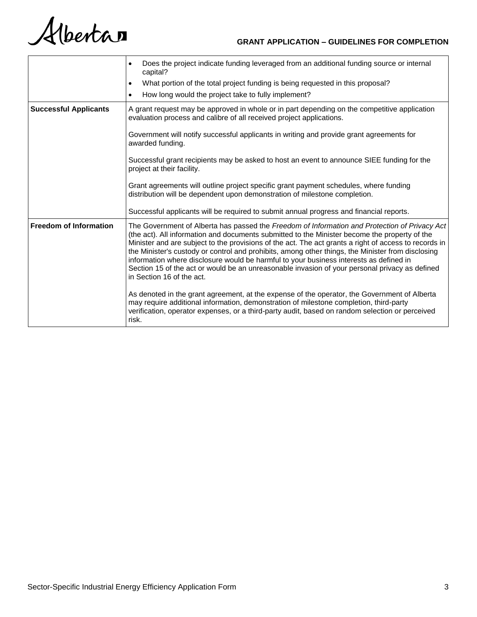

# **GRANT APPLICATION – GUIDELINES FOR COMPLETION**

|                               | Does the project indicate funding leveraged from an additional funding source or internal<br>$\bullet$<br>capital?                                                                                                                                                                                                                                                                                                                                                                                                                                                                                                                    |  |  |  |
|-------------------------------|---------------------------------------------------------------------------------------------------------------------------------------------------------------------------------------------------------------------------------------------------------------------------------------------------------------------------------------------------------------------------------------------------------------------------------------------------------------------------------------------------------------------------------------------------------------------------------------------------------------------------------------|--|--|--|
|                               | What portion of the total project funding is being requested in this proposal?<br>$\bullet$                                                                                                                                                                                                                                                                                                                                                                                                                                                                                                                                           |  |  |  |
|                               | How long would the project take to fully implement?<br>٠                                                                                                                                                                                                                                                                                                                                                                                                                                                                                                                                                                              |  |  |  |
| <b>Successful Applicants</b>  | A grant request may be approved in whole or in part depending on the competitive application<br>evaluation process and calibre of all received project applications.                                                                                                                                                                                                                                                                                                                                                                                                                                                                  |  |  |  |
|                               | Government will notify successful applicants in writing and provide grant agreements for<br>awarded funding.                                                                                                                                                                                                                                                                                                                                                                                                                                                                                                                          |  |  |  |
|                               | Successful grant recipients may be asked to host an event to announce SIEE funding for the<br>project at their facility.                                                                                                                                                                                                                                                                                                                                                                                                                                                                                                              |  |  |  |
|                               | Grant agreements will outline project specific grant payment schedules, where funding<br>distribution will be dependent upon demonstration of milestone completion.                                                                                                                                                                                                                                                                                                                                                                                                                                                                   |  |  |  |
|                               | Successful applicants will be required to submit annual progress and financial reports.                                                                                                                                                                                                                                                                                                                                                                                                                                                                                                                                               |  |  |  |
| <b>Freedom of Information</b> | The Government of Alberta has passed the Freedom of Information and Protection of Privacy Act<br>(the act). All information and documents submitted to the Minister become the property of the<br>Minister and are subject to the provisions of the act. The act grants a right of access to records in<br>the Minister's custody or control and prohibits, among other things, the Minister from disclosing<br>information where disclosure would be harmful to your business interests as defined in<br>Section 15 of the act or would be an unreasonable invasion of your personal privacy as defined<br>in Section 16 of the act. |  |  |  |
|                               | As denoted in the grant agreement, at the expense of the operator, the Government of Alberta<br>may require additional information, demonstration of milestone completion, third-party<br>verification, operator expenses, or a third-party audit, based on random selection or perceived<br>risk.                                                                                                                                                                                                                                                                                                                                    |  |  |  |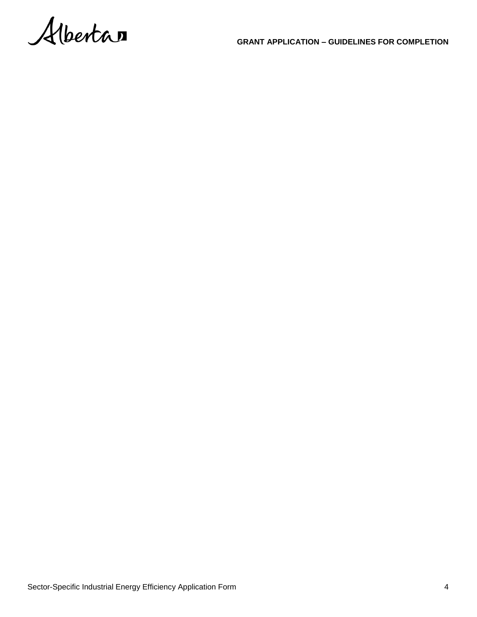Albertan

# **GRANT APPLICATION – GUIDELINES FOR COMPLETION**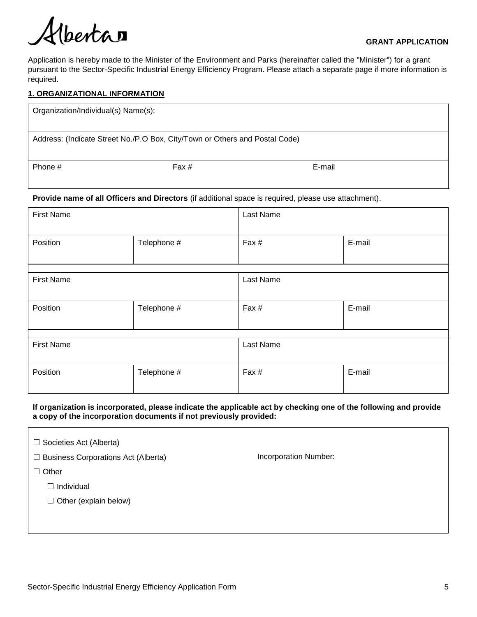

Application is hereby made to the Minister of the Environment and Parks (hereinafter called the "Minister") for a grant pursuant to the Sector-Specific Industrial Energy Efficiency Program. Please attach a separate page if more information is required.

## **1. ORGANIZATIONAL INFORMATION**

| Organization/Individual(s) Name(s):                                         |       |        |  |
|-----------------------------------------------------------------------------|-------|--------|--|
|                                                                             |       |        |  |
|                                                                             |       |        |  |
| Address: (Indicate Street No./P.O Box, City/Town or Others and Postal Code) |       |        |  |
|                                                                             |       |        |  |
| Phone #                                                                     | Fax # | E-mail |  |
|                                                                             |       |        |  |

## **Provide name of all Officers and Directors** (if additional space is required, please use attachment).

| <b>First Name</b> |             | Last Name |        |
|-------------------|-------------|-----------|--------|
| Position          | Telephone # | Fax #     | E-mail |
|                   |             |           |        |
| <b>First Name</b> |             | Last Name |        |
| Position          | Telephone # | Fax #     | E-mail |
|                   |             |           |        |
| <b>First Name</b> |             | Last Name |        |
| Position          | Telephone # | Fax #     | E-mail |

**If organization is incorporated, please indicate the applicable act by checking one of the following and provide a copy of the incorporation documents if not previously provided:**

| $\Box$ Societies Act (Alberta)             |                       |
|--------------------------------------------|-----------------------|
| $\Box$ Business Corporations Act (Alberta) | Incorporation Number: |
| $\Box$ Other                               |                       |
| $\Box$ Individual                          |                       |
| $\Box$ Other (explain below)               |                       |
|                                            |                       |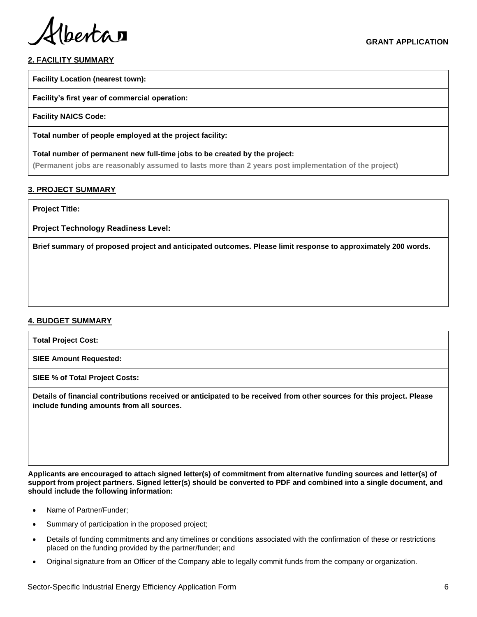bertan

# **2. FACILITY SUMMARY**

**Facility Location (nearest town):** 

**Facility's first year of commercial operation:**

**Facility NAICS Code:** 

**Total number of people employed at the project facility:**

**Total number of permanent new full-time jobs to be created by the project: (Permanent jobs are reasonably assumed to lasts more than 2 years post implementation of the project)**

### **3. PROJECT SUMMARY**

### **Project Title:**

**Project Technology Readiness Level:** 

**Brief summary of proposed project and anticipated outcomes. Please limit response to approximately 200 words.** 

## **4. BUDGET SUMMARY**

**Total Project Cost:** 

**SIEE Amount Requested:** 

**SIEE % of Total Project Costs:** 

**Details of financial contributions received or anticipated to be received from other sources for this project. Please include funding amounts from all sources.**

**Applicants are encouraged to attach signed letter(s) of commitment from alternative funding sources and letter(s) of support from project partners. Signed letter(s) should be converted to PDF and combined into a single document, and should include the following information:**

- Name of Partner/Funder;
- Summary of participation in the proposed project;
- Details of funding commitments and any timelines or conditions associated with the confirmation of these or restrictions placed on the funding provided by the partner/funder; and
- Original signature from an Officer of the Company able to legally commit funds from the company or organization.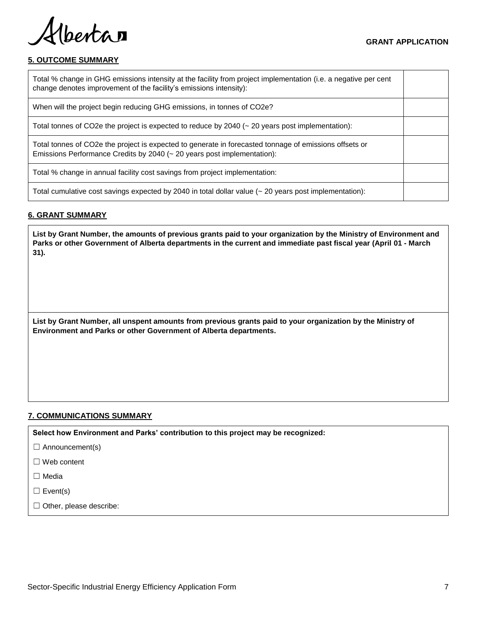# berta

# **5. OUTCOME SUMMARY**

Total % change in GHG emissions intensity at the facility from project implementation (i.e. a negative per cent change denotes improvement of the facility's emissions intensity):

When will the project begin reducing GHG emissions, in tonnes of CO2e?

Total tonnes of CO2e the project is expected to reduce by 2040 (~ 20 years post implementation):

Total tonnes of CO2e the project is expected to generate in forecasted tonnage of emissions offsets or Emissions Performance Credits by 2040 (~ 20 years post implementation):

Total % change in annual facility cost savings from project implementation:

Total cumulative cost savings expected by 2040 in total dollar value (~ 20 years post implementation):

### **6. GRANT SUMMARY**

**List by Grant Number, the amounts of previous grants paid to your organization by the Ministry of Environment and Parks or other Government of Alberta departments in the current and immediate past fiscal year (April 01 - March 31).**

**List by Grant Number, all unspent amounts from previous grants paid to your organization by the Ministry of Environment and Parks or other Government of Alberta departments.**

### **7. COMMUNICATIONS SUMMARY**

**Select how Environment and Parks' contribution to this project may be recognized:**

- $\Box$  Announcement(s)
- ☐ Web content

☐ Media

 $\square$  Event(s)

☐ Other, please describe: